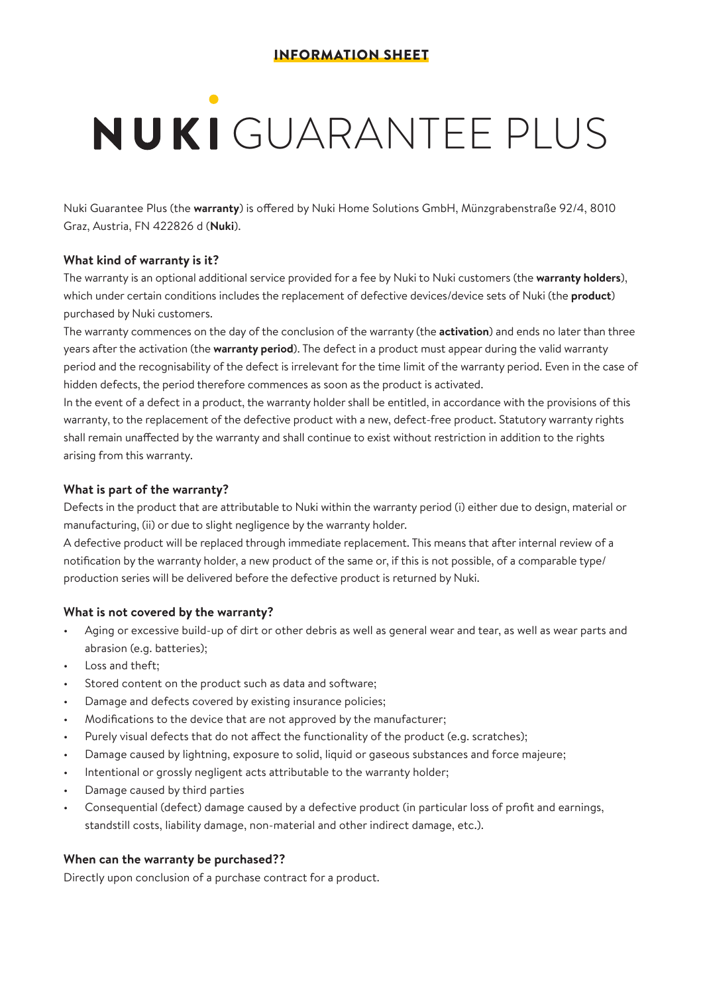# NUKI GUARANTEE PLUS

Nuki Guarantee Plus (the **warranty**) is offered by Nuki Home Solutions GmbH, Münzgrabenstraße 92/4, 8010 Graz, Austria, FN 422826 d (**Nuki**).

# **What kind of warranty is it?**

The warranty is an optional additional service provided for a fee by Nuki to Nuki customers (the **warranty holders**), which under certain conditions includes the replacement of defective devices/device sets of Nuki (the **product**) purchased by Nuki customers.

The warranty commences on the day of the conclusion of the warranty (the **activation**) and ends no later than three years after the activation (the **warranty period**). The defect in a product must appear during the valid warranty period and the recognisability of the defect is irrelevant for the time limit of the warranty period. Even in the case of hidden defects, the period therefore commences as soon as the product is activated.

In the event of a defect in a product, the warranty holder shall be entitled, in accordance with the provisions of this warranty, to the replacement of the defective product with a new, defect-free product. Statutory warranty rights shall remain unaffected by the warranty and shall continue to exist without restriction in addition to the rights arising from this warranty.

# **What is part of the warranty?**

Defects in the product that are attributable to Nuki within the warranty period (i) either due to design, material or manufacturing, (ii) or due to slight negligence by the warranty holder.

A defective product will be replaced through immediate replacement. This means that after internal review of a notification by the warranty holder, a new product of the same or, if this is not possible, of a comparable type/ production series will be delivered before the defective product is returned by Nuki.

# **What is not covered by the warranty?**

- Aging or excessive build-up of dirt or other debris as well as general wear and tear, as well as wear parts and abrasion (e.g. batteries);
- Loss and theft:
- Stored content on the product such as data and software;
- Damage and defects covered by existing insurance policies;
- Modifications to the device that are not approved by the manufacturer;
- Purely visual defects that do not affect the functionality of the product (e.g. scratches);
- Damage caused by lightning, exposure to solid, liquid or gaseous substances and force majeure;
- Intentional or grossly negligent acts attributable to the warranty holder;
- Damage caused by third parties
- Consequential (defect) damage caused by a defective product (in particular loss of profit and earnings, standstill costs, liability damage, non-material and other indirect damage, etc.).

#### **When can the warranty be purchased??**

Directly upon conclusion of a purchase contract for a product.